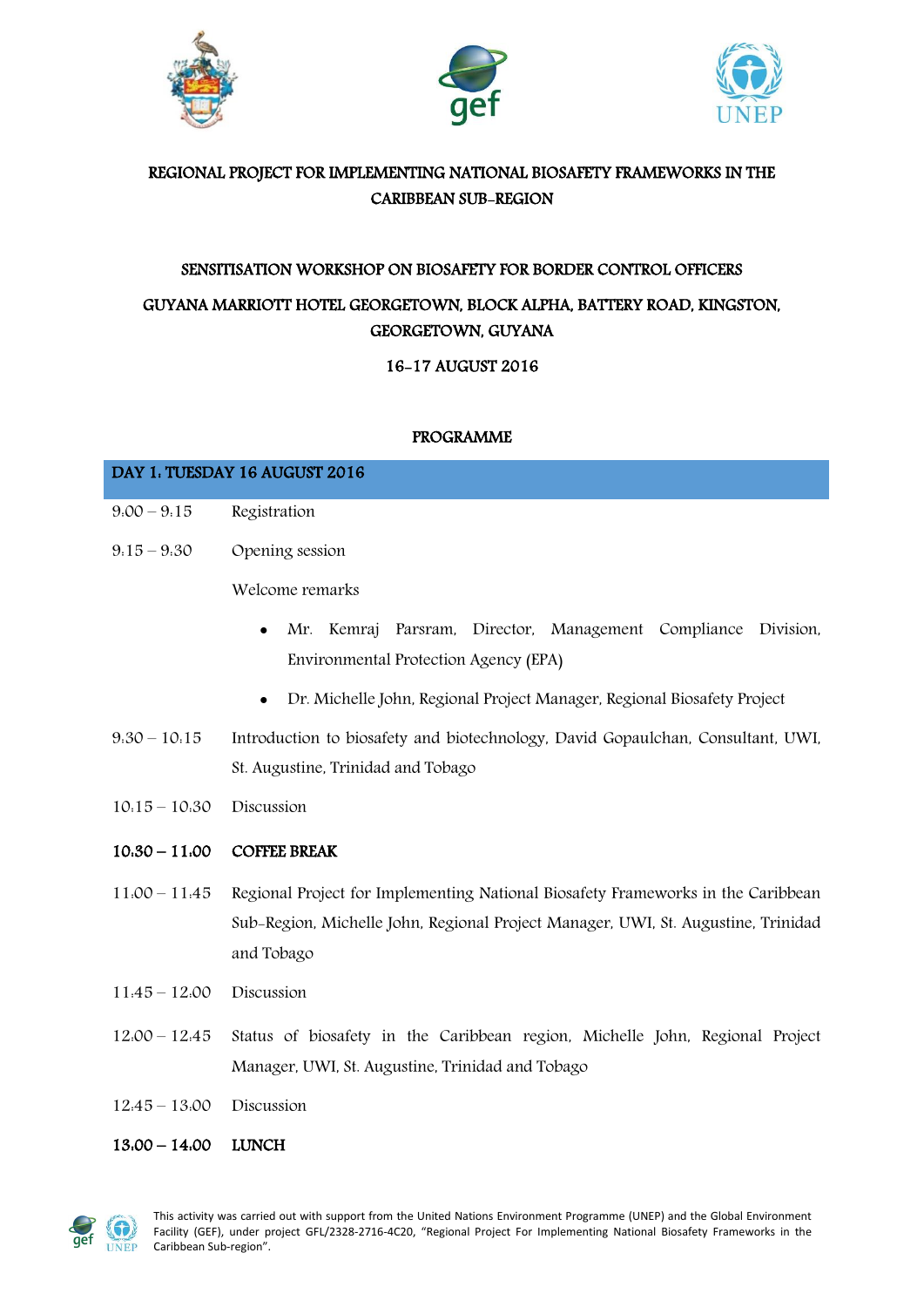





## REGIONAL PROJECT FOR IMPLEMENTING NATIONAL BIOSAFETY FRAMEWORKS IN THE CARIBBEAN SUB-REGION

# SENSITISATION WORKSHOP ON BIOSAFETY FOR BORDER CONTROL OFFICERS GUYANA MARRIOTT HOTEL GEORGETOWN, BLOCK ALPHA, BATTERY ROAD, KINGSTON, GEORGETOWN, GUYANA

16-17 AUGUST 2016

### PROGRAMME

| DAY 1. TUESDAY 16 AUGUST 2016 |                                                                                      |
|-------------------------------|--------------------------------------------------------------------------------------|
| $9.00 - 9.15$                 | Registration                                                                         |
| $9.15 - 9.30$                 | Opening session                                                                      |
|                               | Welcome remarks                                                                      |
|                               | Mr. Kemraj Parsram, Director, Management Compliance Division,<br>$\bullet$           |
|                               | Environmental Protection Agency (EPA)                                                |
|                               | Dr. Michelle John, Regional Project Manager, Regional Biosafety Project<br>$\bullet$ |

- 9:30 10:15 Introduction to biosafety and biotechnology, David Gopaulchan, Consultant, UWI, St. Augustine, Trinidad and Tobago
- 10:15 10:30 Discussion

## 10:30 – 11:00 COFFEE BREAK

- 11:00 11:45 Regional Project for Implementing National Biosafety Frameworks in the Caribbean Sub-Region, Michelle John, Regional Project Manager, UWI, St. Augustine, Trinidad and Tobago
- 11:45 12:00 Discussion
- 12:00 12:45 Status of biosafety in the Caribbean region, Michelle John, Regional Project Manager, UWI, St. Augustine, Trinidad and Tobago
- 12:45 13:00 Discussion
- 13:00 14:00 LUNCH